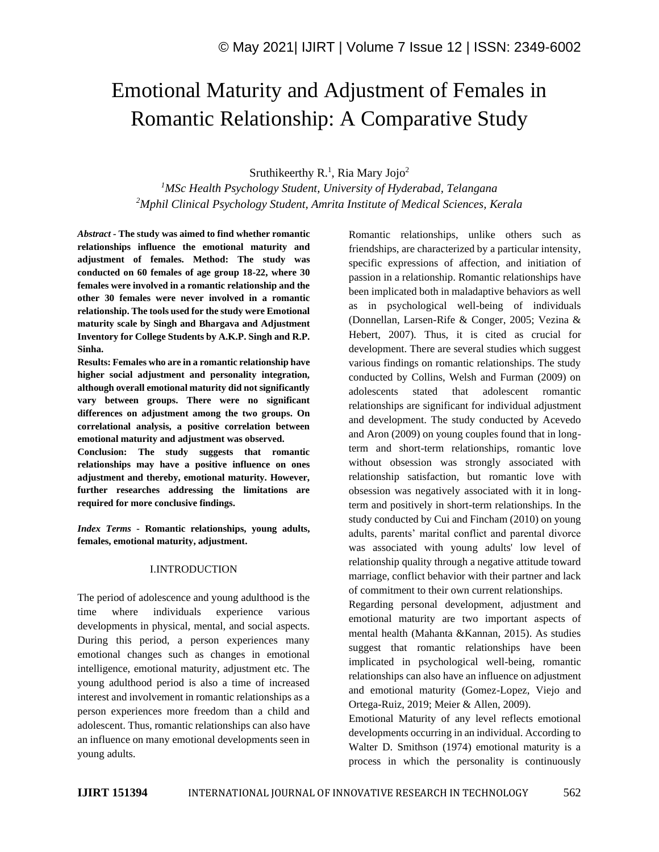# Emotional Maturity and Adjustment of Females in Romantic Relationship: A Comparative Study

Sruthikeerthy  $R<sup>1</sup>$ , Ria Mary Jojo<sup>2</sup>

*<sup>1</sup>MSc Health Psychology Student, University of Hyderabad, Telangana <sup>2</sup>Mphil Clinical Psychology Student, Amrita Institute of Medical Sciences, Kerala*

*Abstract -* **The study was aimed to find whether romantic relationships influence the emotional maturity and adjustment of females. Method: The study was conducted on 60 females of age group 18-22, where 30 females were involved in a romantic relationship and the other 30 females were never involved in a romantic relationship. The tools used for the study were Emotional maturity scale by Singh and Bhargava and Adjustment Inventory for College Students by A.K.P. Singh and R.P. Sinha.** 

**Results: Females who are in a romantic relationship have higher social adjustment and personality integration, although overall emotional maturity did not significantly vary between groups. There were no significant differences on adjustment among the two groups. On correlational analysis, a positive correlation between emotional maturity and adjustment was observed.** 

**Conclusion: The study suggests that romantic relationships may have a positive influence on ones adjustment and thereby, emotional maturity. However, further researches addressing the limitations are required for more conclusive findings.**

*Index Terms -* **Romantic relationships, young adults, females, emotional maturity, adjustment.**

#### I.INTRODUCTION

The period of adolescence and young adulthood is the time where individuals experience various developments in physical, mental, and social aspects. During this period, a person experiences many emotional changes such as changes in emotional intelligence, emotional maturity, adjustment etc. The young adulthood period is also a time of increased interest and involvement in romantic relationships as a person experiences more freedom than a child and adolescent. Thus, romantic relationships can also have an influence on many emotional developments seen in young adults.

Romantic relationships, unlike others such as friendships, are characterized by a particular intensity, specific expressions of affection, and initiation of passion in a relationship. Romantic relationships have been implicated both in maladaptive behaviors as well as in psychological well-being of individuals (Donnellan, Larsen-Rife & Conger, 2005; Vezina & Hebert, 2007). Thus, it is cited as crucial for development. There are several studies which suggest various findings on romantic relationships. The study conducted by Collins, Welsh and Furman (2009) on adolescents stated that adolescent romantic relationships are significant for individual adjustment and development. The study conducted by Acevedo and Aron (2009) on young couples found that in longterm and short-term relationships, romantic love without obsession was strongly associated with relationship satisfaction, but romantic love with obsession was negatively associated with it in longterm and positively in short-term relationships. In the study conducted by Cui and Fincham (2010) on young adults, parents' marital conflict and parental divorce was associated with young adults' low level of relationship quality through a negative attitude toward marriage, conflict behavior with their partner and lack of commitment to their own current relationships.

Regarding personal development, adjustment and emotional maturity are two important aspects of mental health (Mahanta &Kannan, 2015). As studies suggest that romantic relationships have been implicated in psychological well-being, romantic relationships can also have an influence on adjustment and emotional maturity (Gomez-Lopez, Viejo and Ortega-Ruiz, 2019; Meier & Allen, 2009).

Emotional Maturity of any level reflects emotional developments occurring in an individual. According to Walter D. Smithson (1974) emotional maturity is a process in which the personality is continuously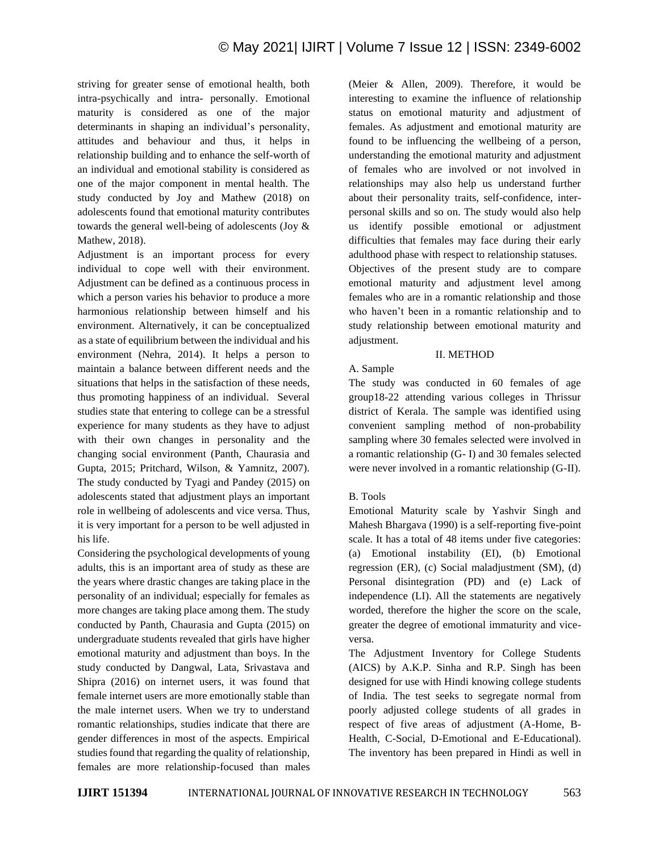striving for greater sense of emotional health, both intra-psychically and intra- personally. Emotional maturity is considered as one of the major determinants in shaping an individual's personality, attitudes and behaviour and thus, it helps in relationship building and to enhance the self-worth of an individual and emotional stability is considered as one of the major component in mental health. The study conducted by Joy and Mathew (2018) on adolescents found that emotional maturity contributes towards the general well-being of adolescents (Joy & Mathew, 2018).

Adjustment is an important process for every individual to cope well with their environment. Adjustment can be defined as a continuous process in which a person varies his behavior to produce a more harmonious relationship between himself and his environment. Alternatively, it can be conceptualized as a state of equilibrium between the individual and his environment (Nehra, 2014). It helps a person to maintain a balance between different needs and the situations that helps in the satisfaction of these needs, thus promoting happiness of an individual. Several studies state that entering to college can be a stressful experience for many students as they have to adjust with their own changes in personality and the changing social environment (Panth, Chaurasia and Gupta, 2015; Pritchard, Wilson, & Yamnitz, 2007). The study conducted by Tyagi and Pandey (2015) on adolescents stated that adjustment plays an important role in wellbeing of adolescents and vice versa. Thus, it is very important for a person to be well adjusted in his life.

Considering the psychological developments of young adults, this is an important area of study as these are the years where drastic changes are taking place in the personality of an individual; especially for females as more changes are taking place among them. The study conducted by Panth, Chaurasia and Gupta (2015) on undergraduate students revealed that girls have higher emotional maturity and adjustment than boys. In the study conducted by Dangwal, Lata, Srivastava and Shipra (2016) on internet users, it was found that female internet users are more emotionally stable than the male internet users. When we try to understand romantic relationships, studies indicate that there are gender differences in most of the aspects. Empirical studies found that regarding the quality of relationship, females are more relationship-focused than males (Meier & Allen, 2009). Therefore, it would be interesting to examine the influence of relationship status on emotional maturity and adjustment of females. As adjustment and emotional maturity are found to be influencing the wellbeing of a person, understanding the emotional maturity and adjustment of females who are involved or not involved in relationships may also help us understand further about their personality traits, self-confidence, interpersonal skills and so on. The study would also help us identify possible emotional or adjustment difficulties that females may face during their early adulthood phase with respect to relationship statuses. Objectives of the present study are to compare emotional maturity and adjustment level among females who are in a romantic relationship and those who haven't been in a romantic relationship and to study relationship between emotional maturity and adjustment.

## II. METHOD

# A. Sample

The study was conducted in 60 females of age group18-22 attending various colleges in Thrissur district of Kerala. The sample was identified using convenient sampling method of non-probability sampling where 30 females selected were involved in a romantic relationship (G- I) and 30 females selected were never involved in a romantic relationship (G-II).

# B. Tools

Emotional Maturity scale by Yashvir Singh and Mahesh Bhargava (1990) is a self-reporting five-point scale. It has a total of 48 items under five categories: (a) Emotional instability (EI), (b) Emotional regression (ER), (c) Social maladjustment (SM), (d) Personal disintegration (PD) and (e) Lack of independence (LI). All the statements are negatively worded, therefore the higher the score on the scale, greater the degree of emotional immaturity and viceversa.

The Adjustment Inventory for College Students (AICS) by A.K.P. Sinha and R.P. Singh has been designed for use with Hindi knowing college students of India. The test seeks to segregate normal from poorly adjusted college students of all grades in respect of five areas of adjustment (A-Home, B-Health, C-Social, D-Emotional and E-Educational). The inventory has been prepared in Hindi as well in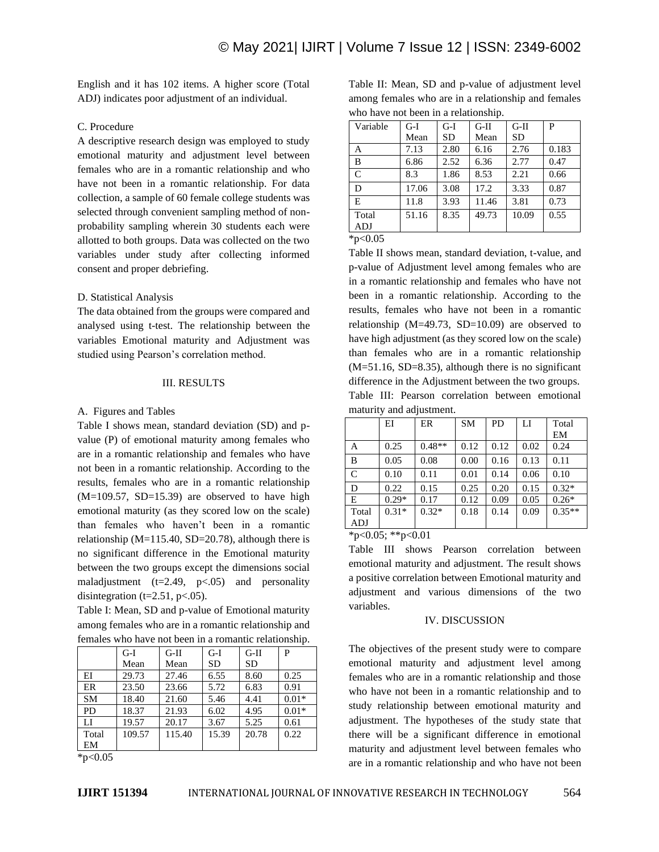English and it has 102 items. A higher score (Total ADJ) indicates poor adjustment of an individual.

# C. Procedure

A descriptive research design was employed to study emotional maturity and adjustment level between females who are in a romantic relationship and who have not been in a romantic relationship. For data collection, a sample of 60 female college students was selected through convenient sampling method of nonprobability sampling wherein 30 students each were allotted to both groups. Data was collected on the two variables under study after collecting informed consent and proper debriefing.

#### D. Statistical Analysis

The data obtained from the groups were compared and analysed using t-test. The relationship between the variables Emotional maturity and Adjustment was studied using Pearson's correlation method.

#### III. RESULTS

#### A. Figures and Tables

Table I shows mean, standard deviation (SD) and pvalue (P) of emotional maturity among females who are in a romantic relationship and females who have not been in a romantic relationship. According to the results, females who are in a romantic relationship  $(M=109.57, SD=15.39)$  are observed to have high emotional maturity (as they scored low on the scale) than females who haven't been in a romantic relationship ( $M=115.40$ ,  $SD=20.78$ ), although there is no significant difference in the Emotional maturity between the two groups except the dimensions social maladjustment  $(t=2.49, p<.05)$  and personality disintegration ( $t=2.51$ ,  $p<.05$ ).

Table I: Mean, SD and p-value of Emotional maturity among females who are in a romantic relationship and females who have not been in a romantic relationship.

|           | $G-I$  | $G-II$ | $G-I$     | $G-II$    | P       |
|-----------|--------|--------|-----------|-----------|---------|
|           | Mean   | Mean   | <b>SD</b> | <b>SD</b> |         |
| EI        | 29.73  | 27.46  | 6.55      | 8.60      | 0.25    |
| ER        | 23.50  | 23.66  | 5.72      | 6.83      | 0.91    |
| <b>SM</b> | 18.40  | 21.60  | 5.46      | 4.41      | $0.01*$ |
| <b>PD</b> | 18.37  | 21.93  | 6.02      | 4.95      | $0.01*$ |
| LI        | 19.57  | 20.17  | 3.67      | 5.25      | 0.61    |
| Total     | 109.57 | 115.40 | 15.39     | 20.78     | 0.22    |
| EM        |        |        |           |           |         |

 $*p<0.05$ 

Table II: Mean, SD and p-value of adjustment level among females who are in a relationship and females who have not been in a relationship.

| $G-I$ | G-I       | $G-II$ | $G-II$ | P     |
|-------|-----------|--------|--------|-------|
| Mean  | <b>SD</b> | Mean   | SD     |       |
| 7.13  | 2.80      | 6.16   | 2.76   | 0.183 |
| 6.86  | 2.52      | 6.36   | 2.77   | 0.47  |
| 8.3   | 1.86      | 8.53   | 2.21   | 0.66  |
| 17.06 | 3.08      | 17.2   | 3.33   | 0.87  |
| 11.8  | 3.93      | 11.46  | 3.81   | 0.73  |
| 51.16 | 8.35      | 49.73  | 10.09  | 0.55  |
|       |           |        |        |       |
|       |           |        |        |       |

 $*p<0.05$ 

Table II shows mean, standard deviation, t-value, and p-value of Adjustment level among females who are in a romantic relationship and females who have not been in a romantic relationship. According to the results, females who have not been in a romantic relationship ( $M=49.73$ ,  $SD=10.09$ ) are observed to have high adjustment (as they scored low on the scale) than females who are in a romantic relationship (M=51.16, SD=8.35), although there is no significant difference in the Adjustment between the two groups. Table III: Pearson correlation between emotional maturity and adjustment.

|               | ΕI      | ER       | <b>SM</b> | <b>PD</b> | LI   | Total    |
|---------------|---------|----------|-----------|-----------|------|----------|
|               |         |          |           |           |      | EM       |
| A             | 0.25    | $0.48**$ | 0.12      | 0.12      | 0.02 | 0.24     |
| B             | 0.05    | 0.08     | 0.00      | 0.16      | 0.13 | 0.11     |
| $\mathcal{C}$ | 0.10    | 0.11     | 0.01      | 0.14      | 0.06 | 0.10     |
| D             | 0.22    | 0.15     | 0.25      | 0.20      | 0.15 | $0.32*$  |
| E             | $0.29*$ | 0.17     | 0.12      | 0.09      | 0.05 | $0.26*$  |
| Total         | $0.31*$ | $0.32*$  | 0.18      | 0.14      | 0.09 | $0.35**$ |
| ADJ           |         |          |           |           |      |          |

 $*p<0.05$ ;  $*p<0.01$ 

Table III shows Pearson correlation between emotional maturity and adjustment. The result shows a positive correlation between Emotional maturity and adjustment and various dimensions of the two variables.

#### IV. DISCUSSION

The objectives of the present study were to compare emotional maturity and adjustment level among females who are in a romantic relationship and those who have not been in a romantic relationship and to study relationship between emotional maturity and adjustment. The hypotheses of the study state that there will be a significant difference in emotional maturity and adjustment level between females who are in a romantic relationship and who have not been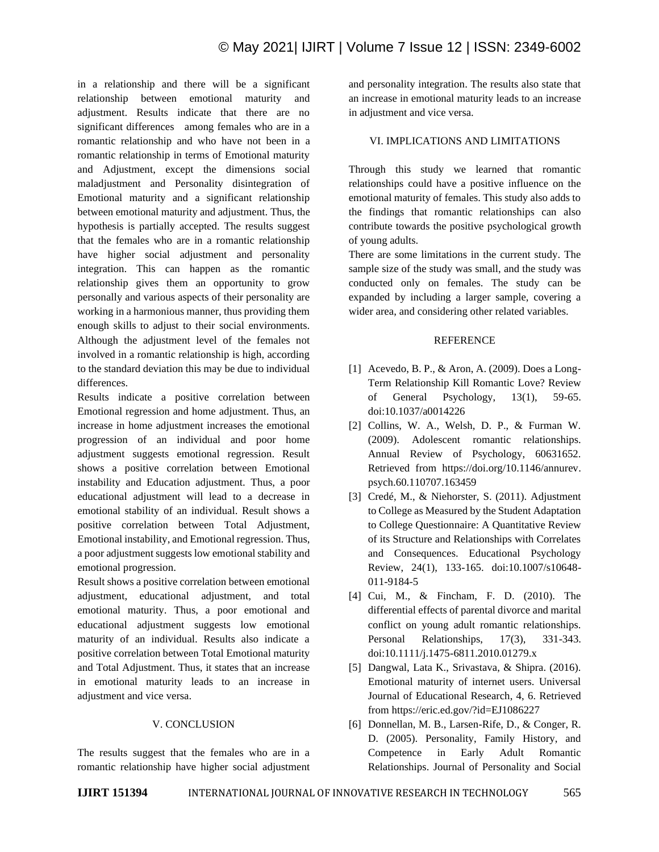in a relationship and there will be a significant relationship between emotional maturity and adjustment. Results indicate that there are no significant differences among females who are in a romantic relationship and who have not been in a romantic relationship in terms of Emotional maturity and Adjustment, except the dimensions social maladjustment and Personality disintegration of Emotional maturity and a significant relationship between emotional maturity and adjustment. Thus, the hypothesis is partially accepted. The results suggest that the females who are in a romantic relationship have higher social adjustment and personality integration. This can happen as the romantic relationship gives them an opportunity to grow personally and various aspects of their personality are working in a harmonious manner, thus providing them enough skills to adjust to their social environments. Although the adjustment level of the females not involved in a romantic relationship is high, according to the standard deviation this may be due to individual differences.

Results indicate a positive correlation between Emotional regression and home adjustment. Thus, an increase in home adjustment increases the emotional progression of an individual and poor home adjustment suggests emotional regression. Result shows a positive correlation between Emotional instability and Education adjustment. Thus, a poor educational adjustment will lead to a decrease in emotional stability of an individual. Result shows a positive correlation between Total Adjustment, Emotional instability, and Emotional regression. Thus, a poor adjustment suggests low emotional stability and emotional progression.

Result shows a positive correlation between emotional adjustment, educational adjustment, and total emotional maturity. Thus, a poor emotional and educational adjustment suggests low emotional maturity of an individual. Results also indicate a positive correlation between Total Emotional maturity and Total Adjustment. Thus, it states that an increase in emotional maturity leads to an increase in adjustment and vice versa.

## V. CONCLUSION

The results suggest that the females who are in a romantic relationship have higher social adjustment and personality integration. The results also state that an increase in emotional maturity leads to an increase in adjustment and vice versa.

## VI. IMPLICATIONS AND LIMITATIONS

Through this study we learned that romantic relationships could have a positive influence on the emotional maturity of females. This study also adds to the findings that romantic relationships can also contribute towards the positive psychological growth of young adults.

There are some limitations in the current study. The sample size of the study was small, and the study was conducted only on females. The study can be expanded by including a larger sample, covering a wider area, and considering other related variables.

## REFERENCE

- [1] Acevedo, B. P., & Aron, A. (2009). Does a Long-Term Relationship Kill Romantic Love? Review of General Psychology, 13(1), 59-65. doi:10.1037/a0014226
- [2] Collins, W. A., Welsh, D. P., & Furman W. (2009). Adolescent romantic relationships. Annual Review of Psychology, 60631652. Retrieved from https://doi.org/10.1146/annurev. psych.60.110707.163459
- [3] Credé, M., & Niehorster, S. (2011). Adjustment to College as Measured by the Student Adaptation to College Questionnaire: A Quantitative Review of its Structure and Relationships with Correlates and Consequences. Educational Psychology Review, 24(1), 133-165. doi:10.1007/s10648- 011-9184-5
- [4] Cui, M., & Fincham, F. D. (2010). The differential effects of parental divorce and marital conflict on young adult romantic relationships. Personal Relationships, 17(3), 331-343. doi:10.1111/j.1475-6811.2010.01279.x
- [5] Dangwal, Lata K., Srivastava, & Shipra. (2016). Emotional maturity of internet users. Universal Journal of Educational Research, 4, 6. Retrieved from https://eric.ed.gov/?id=EJ1086227
- [6] Donnellan, M. B., Larsen-Rife, D., & Conger, R. D. (2005). Personality, Family History, and Competence in Early Adult Romantic Relationships. Journal of Personality and Social